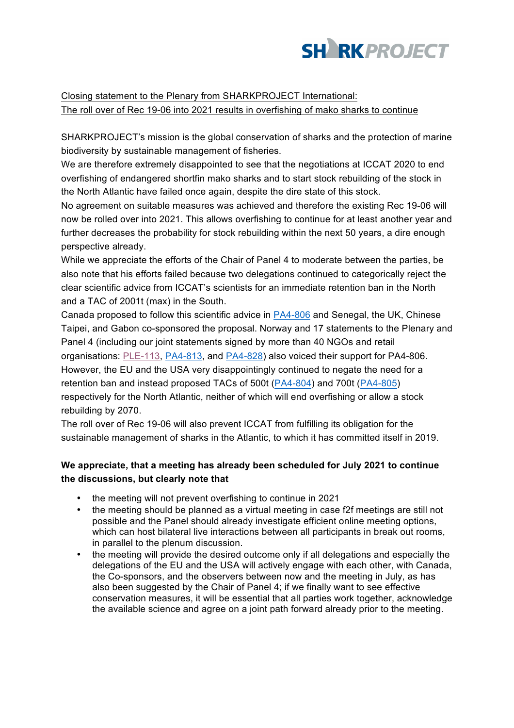

Closing statement to the Plenary from SHARKPROJECT International: The roll over of Rec 19-06 into 2021 results in overfishing of mako sharks to continue

SHARKPROJECT's mission is the global conservation of sharks and the protection of marine biodiversity by sustainable management of fisheries.

We are therefore extremely disappointed to see that the negotiations at ICCAT 2020 to end overfishing of endangered shortfin mako sharks and to start stock rebuilding of the stock in the North Atlantic have failed once again, despite the dire state of this stock.

No agreement on suitable measures was achieved and therefore the existing Rec 19-06 will now be rolled over into 2021. This allows overfishing to continue for at least another year and further decreases the probability for stock rebuilding within the next 50 years, a dire enough perspective already.

While we appreciate the efforts of the Chair of Panel 4 to moderate between the parties, be also note that his efforts failed because two delegations continued to categorically reject the clear scientific advice from ICCAT's scientists for an immediate retention ban in the North and a TAC of 2001t (max) in the South.

Canada proposed to follow this scientific advice in PA4-806 and Senegal, the UK, Chinese Taipei, and Gabon co-sponsored the proposal. Norway and 17 statements to the Plenary and Panel 4 (including our joint statements signed by more than 40 NGOs and retail organisations: PLE-113, PA4-813, and PA4-828) also voiced their support for PA4-806. However, the EU and the USA very disappointingly continued to negate the need for a retention ban and instead proposed TACs of 500t (PA4-804) and 700t (PA4-805) respectively for the North Atlantic, neither of which will end overfishing or allow a stock rebuilding by 2070.

The roll over of Rec 19-06 will also prevent ICCAT from fulfilling its obligation for the sustainable management of sharks in the Atlantic, to which it has committed itself in 2019.

## **We appreciate, that a meeting has already been scheduled for July 2021 to continue the discussions, but clearly note that**

- the meeting will not prevent overfishing to continue in 2021
- the meeting should be planned as a virtual meeting in case f2f meetings are still not possible and the Panel should already investigate efficient online meeting options, which can host bilateral live interactions between all participants in break out rooms, in parallel to the plenum discussion.
- the meeting will provide the desired outcome only if all delegations and especially the delegations of the EU and the USA will actively engage with each other, with Canada, the Co-sponsors, and the observers between now and the meeting in July, as has also been suggested by the Chair of Panel 4; if we finally want to see effective conservation measures, it will be essential that all parties work together, acknowledge the available science and agree on a joint path forward already prior to the meeting.